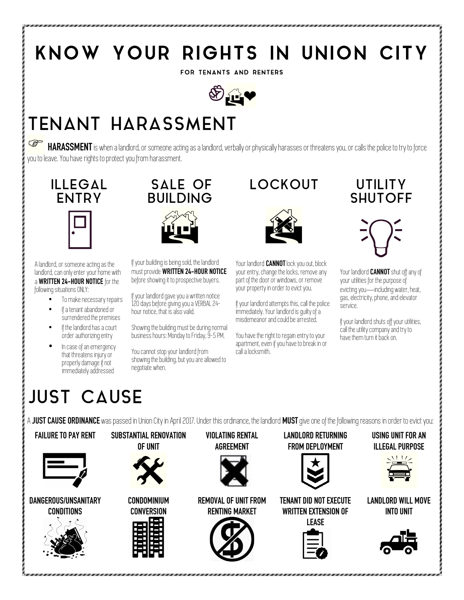## KNOW YOUR RIGHTS IN UNION CITY

FOR TENANTS AND RENTERS



## TENANT HARASSMENT

**HARASSMENT** is when a landlord, or someone acting as a landlord, verbally or physically harasses or threatens you, or calls the police to try to force you to leave. You have rights to protect you from harassment.



A landlord, or someone acting as the landlord, can only enter your home with a **WRITTEN 24-HOUR NOTICE** for the following situations ONLY:

- To make necessary repairs
- If a tenant abandoned or surrendered the premises
- If the landlord has a court order authorizing entry
- In case of an emergency that threatens injury or properly damage if not immediately addressed

#### SALE OF BUILDING



If your building is being sold, the landlord must provide **WRITTEN 24-HOUR NOTICE** before showing it to prospective buyers.

If your landlord gave you a written notice 120 days before giving you a VERBAL 24 hour notice, that is also valid.

Showing the building must be during normal business hours: Monday to Friday, 9-5 PM.

You cannot stop your landlord from showing the building, but you are allowed to negotiate when.

#### LOCKOUT UTILITY



Your landlord **CANNOT** lock you out, block your entry, change the locks, remove any part of the door or windows, or remove your property in order to evict you.

If your landlord attempts this, call the police immediately. Your landlord is guilty of a misdemeanor and could be arrested.

You have the right to regain entry to your apartment, even if you have to break in or call a locksmith.

# **SHUTOFF**



Your landlord **CANNOT** shut off any of your utilities for the purpose of evicting you—including water, heat, gas, electricity, phone, and elevator service.

If your landlord shuts off your utilities, call the utility company and try to have them turn it back on.

#### JUST CAUSE

A **JUST CAUSE ORDINANCE** was passed in Union City in April 2017. Under this ordinance, the landlord **MUST** give one of the following reasons in order to evict you: